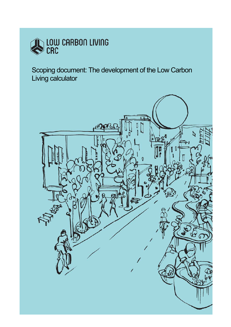

**Scoping document: The development of the Low Carbon CALCULATION PRECINCT DESIGN PRECISE DESIGN PRECISE DE L'AUGUST DE L'AUGUST DE L'AUGUST DE L'AUGUST DE L'AUGUST DE L'AUGUST DE L'AUGUST DE L'AUGUST DE L'AUGUST DE L'AUGUST DE L'AUGUST DE L'AUGUST DE L'AUGUST DE L'AUGUST DE** Living calculator

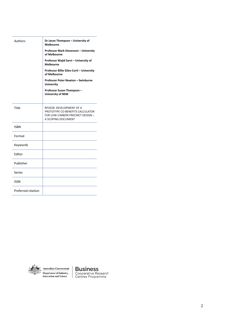| Authors            | Dr Jason Thompson - University of<br><b>Melbourne</b>                                                                  |
|--------------------|------------------------------------------------------------------------------------------------------------------------|
|                    | Professor Mark Stevenson - University<br>of Melbourne                                                                  |
|                    | Professor Majid Sarvi - University of<br><b>Melbourne</b>                                                              |
|                    | Professor Billie Giles-Corti - University<br>of Melbourne                                                              |
|                    | Professor Peter Newton - Swinburne<br><b>University</b>                                                                |
|                    | Professor Susan Thompson-<br><b>University of NSW</b>                                                                  |
| Title              | RP2028: DEVELOPMENT OF A<br>PROTOTYPE CO-BENEFITS CALCULATOR<br>FOR LOW-CARBON PRECINCT DESIGN -<br>A SCOPING DOCUMENT |
| <b>ISBN</b>        |                                                                                                                        |
| Format             |                                                                                                                        |
| Keywords           |                                                                                                                        |
| Editor             |                                                                                                                        |
| Publisher          |                                                                                                                        |
| Series             |                                                                                                                        |
| <b>ISSN</b>        |                                                                                                                        |
| Preferred citation |                                                                                                                        |



 $\textbf{Australian Government}$ Department of Industry,<br>Innovation and Science

**Business**<br>Cooperative Research<br>Centres Programme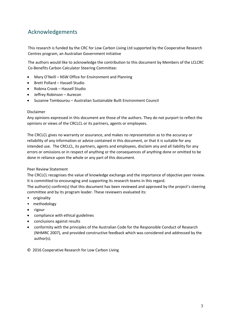# Acknowledgements

This research is funded by the CRC for Low Carbon Living Ltd supported by the Cooperative Research Centres program, an Australian Government initiative

The authors would like to acknowledge the contribution to this document by Members of the LCLCRC Co-Benefits Carbon Calculator Steering Committee:

- Mary O'Neill NSW Office for Environment and Planning
- Brett Pollard Hassell Studio
- Robina Crook Hassell Studio
- Jeffrey Robinson Aurecon
- Suzanne Tombourou Australian Sustainable Built Environment Council

#### Disclaimer

Any opinions expressed in this document are those of the authors. They do not purport to reflect the opinions or views of the CRCLCL or its partners, agents or employees.

The CRCLCL gives no warranty or assurance, and makes no representation as to the accuracy or reliability of any information or advice contained in this document, or that it is suitable for any intended use. The CRCLCL, its partners, agents and employees, disclaim any and all liability for any errors or omissions or in respect of anything or the consequences of anything done or omitted to be done in reliance upon the whole or any part of this document.

#### Peer Review Statement

The CRCLCL recognises the value of knowledge exchange and the importance of objective peer review. It is committed to encouraging and supporting its research teams in this regard.

The author(s) confirm(s) that this document has been reviewed and approved by the project's steering committee and by its program leader. These reviewers evaluated its:

- originality
- methodology
- rigour
- compliance with ethical guidelines
- conclusions against results
- conformity with the principles of the Australian Code for the Responsible Conduct of Research (NHMRC 2007), and provided constructive feedback which was considered and addressed by the author(s).
- © 2016 Cooperative Research for Low Carbon Living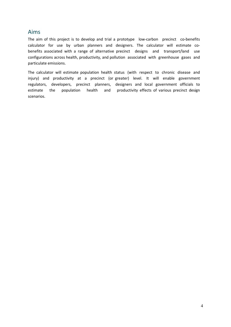## Aims

The aim of this project is to develop and trial a prototype low-carbon precinct co-benefits calculator for use by urban planners and designers. The calculator will estimate cobenefits associated with a range of alternative precinct designs and transport/land use configurations across health, productivity, and pollution associated with greenhouse gases and particulate emissions.

The calculator will estimate population health status (with respect to chronic disease and injury) and productivity at a precinct (or greater) level. It will enable government regulators, developers, precinct planners, designers and local government officials to estimate the population health and productivity effects of various precinct design scenarios.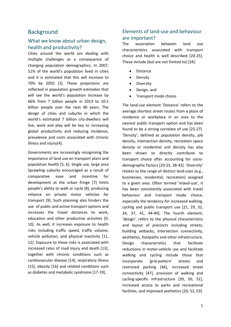### Background

### What we know about urban design. health and productivity?

Cities around the world are dealing with multiple challenges as a consequence of changing population demographics. In 2007, 51% of the world's population lived in cities and it is estimated that this will increase to 70% by 2050 [\[3\]](#page-20-0). These projections are reflected in population growth estimates that will see the world's population increase by 66% from 7 billion people in 2013 to 10.5 billion people over the next 40 years. The design of cities and suburbs in which the world's estimated 7 billion city-dwellers will live, work and play will be key to increasing global productivity and reducing incidence, prevalence and costs associated with chronic illness and injury[\[4\]](#page-20-1).

Governments are increasingly recognising the importance of land use on transport plans and population health [\[5,](#page-20-2) [6\]](#page-20-3). Single use, large area Sprawling suburbs encouraged as a result of comparative ease and incentive for development at the urban fringe [\[7\]](#page-20-4) limits people's ability to walk or cycle [\[8\]](#page-20-5), producing reliance on private motor vehicles for transport [\[9\]](#page-20-6). Such planning also hinders the use of public and active transport options and increases the travel distances to work, education and other productive activities [\[9,](#page-20-6) [10\]](#page-20-7). As well, it increases exposure to health risks including traffic speed, traffic volume, vehicle pollution, and physical inactivity [\[11,](#page-20-8) [12\]](#page-20-9). Exposure to these risks is associated with increased rates of road injury and death [\[13\]](#page-20-10), together with chronic conditions such as cardiovascular disease [\[14\]](#page-20-11), respiratory illness [\[15\]](#page-20-12), obesity [\[16\]](#page-20-13) and related conditions such as diabetes and metabolic syndrome [\[17-19\]](#page-20-14).

## Elements of land-use and behaviour are important?

The association between land use characteristics associated with transport choice and health is well described [\[20-25\]](#page-20-15). These include (but are not limited to) [\[24\]](#page-21-0):

- Distance
- Density
- **Diversity**
- Design, and
- Transport mode choice

The land-use element 'Distance' refers to the average shortest street routes from a place of residence or workplace in an area to the nearest public transport option and has been found to be a strong correlate of use [\[25-27\]](#page-21-1). 'Density', defined as population density, job density, intersection density, recreation space density or residential unit density has also been shown to directly contribute to transport choice after accounting for sociodemographic factors [\[20-25,](#page-20-15) [28-43\]](#page-21-2). 'Diversity' relates to the range of distinct land-uses (e.g., businesses, residential, recreation) assigned to a given area. Often termed 'mixed-use', it has been consistently associated with travel behaviour and transport mode choice, especially the tendency for increased walking, cycling and public transport use [\[21,](#page-20-16) [29,](#page-21-3) [32,](#page-21-4) [34,](#page-21-5) [37,](#page-21-6) [41,](#page-21-7) [44-49\]](#page-22-0). The fourth element, 'design', refers to the physical characteristics and layout of precincts including streets, building setbacks, intersection connectivity, aesthetics, footpaths and other infrastructure. Design characteristics that facilitate reductions in motor-vehicle use and facilitate walking and cycling include those that incorporate 'grid-pattern' streets and restricted parking [\[46\]](#page-22-1), increased street connectivity [\[47\]](#page-22-2), provision of walking and cycling-specific infrastructure [\[39,](#page-21-8) [50,](#page-22-3) [51\]](#page-22-4), increased access to parks and recreational facilities, and improved aesthetics [\[20,](#page-20-15) [52,](#page-22-5) [53\]](#page-22-6).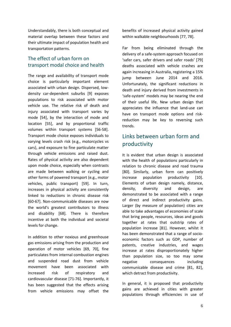Understandably, there is both conceptual and material overlap between these factors and their ultimate impact of population health and transportation patterns.

## The effect of urban form on transport modal choice and health

The range and availability of transport mode choice is particularly important element associated with urban design. Dispersed, lowdensity car-dependent suburbs [\[9\]](#page-20-6) exposes populations to risk associated with motor vehicle use. The relative risk of death and injury associated with transport varies by mode [\[54\]](#page-22-7), by the interaction of mode and location [\[55\]](#page-22-8), and by proportional traffic volumes within transport systems [\[56-58\]](#page-22-9). Transport mode choice exposes individuals to varying levels crash risk (e.g., motorcycles vs cars), and exposure to fine particulate matter through vehicle emissions and raised dust. Rates of physical activity are also dependent upon mode choice, especially when contrasts are made between walking or cycling and other forms of powered transport (e.g., motor vehicles, public transport) [\[59\]](#page-22-10). In turn, increases in physical activity are consistently linked to reductions in chronic disease risk [\[60-67\]](#page-22-11). Non-communicable diseases are now the world's greatest contributors to illness and disability [\[68\]](#page-23-0). There is therefore incentive at both the individual and societal levels for change.

In addition to other noxious and greenhouse gas emissions arising from the production and operation of motor vehicles [\[69,](#page-23-1) [70\]](#page-23-2), fine particulates from internal combustion engines and suspended road dust from vehicle movement have been associated with increased risk of respiratory and cardiovascular disease [\[71-76\]](#page-23-3). Importantly, it has been suggested that the effects arising from vehicle emissions may offset the

benefits of increased physical activity gained within walkable neighbourhoods [\[77,](#page-23-4) [78\]](#page-23-5).

Far from being eliminated through the delivery of a safe-system approach focused on 'safer cars, safer drivers and safer roads' [\[79\]](#page-23-6) deaths associated with vehicle crashes are again increasing in Australia, registering a 15% jump between June 2014 and 2016. Unfortunately, the significant reductions in death and injury derived from investments in 'safe-system' models may be nearing the end of their useful life. New urban design that appreciates the influence that land-use can have on transport mode options and riskreduction may be key to reversing such trends.

# Links between urban form and productivity

It is evident that urban design is associated with the health of populations particularly in relation to chronic disease and road trauma [\[80\]](#page-23-7). Similarly, urban form can positively increase population productivity [\[10\]](#page-20-7). Elements of urban design namely, distance, density, diversity and design, are demonstrated to be associated with a range of direct and indirect productivity gains. Larger (by measure of population) cities are able to take advantages of economies of scale that bring people, resources, ideas and goods together at rates that outstrip rates of population increase [\[81\]](#page-23-8). However, whilst it has been demonstrated that a range of socioeconomic factors such as GDP, number of patents, creative industries, and wages increase at rates disproportionately higher than population size, so too may some negative consequences including communicable disease and crime [\[81,](#page-23-8) [82\]](#page-23-9), which detract from productivity.

In general, it is proposed that productivity gains are achieved in cities with greater populations through efficiencies in use of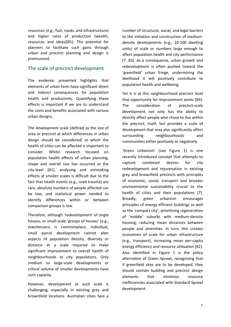resources (e.g., fuel, roads, and infrastructure) and higher rates of production (wealth, resources and ideas)[\[81\]](#page-23-8). The potential for planners to facilitate such gains through urban and precinct planning and design is pronounced.

### The scale of precinct development

The evidence presented highlights that elements of urban form have significant direct and indirect consequences for population health and productivity. Quantifying these effects is important if we are to understand the costs and benefits associated with various urban designs.

The development scale (defined as the size of area or precinct at which differences in urban design should be considered) at which the health of cities can be affected is important to consider. Whilst research focused on population health effects of urban planning, shape and overall size has occurred at the city-level [\[81\]](#page-23-8), analysing and estimating effects at smaller scales is difficult due to the fact that health events (e.g., road trauma) are rare, absolute numbers of people affected can be low, and statistical power needed to identify differences within or between comparison groups is low.

Therefore, although 'redevelopment' of single houses, or small-scale 'groups of houses' (e.g., townhouses) is commonplace, individual, small parcel development cannot alter aspects of population density, diversity or distance at a scale required to make significant improvement to overall health of neighbourhoods or city populations. Only medium to large-scale developments or critical volume of smaller developments have such capacity.

However, development at such scale is challenging, especially in existing grey and brownfield locations. Australian cities face a

number of structural, social, and legal barriers to the initiation and construction of mediumdensity developments (e.g., 10-100 dwelling units) of scale or numbers large enough to affect population health and city performance [\[7,](#page-20-4) [83\]](#page-24-0). As a consequence, urban growth and redevelopment is often pushed toward the 'greenfield' urban fringe, undermining the likelihood it will positively contribute to population health and wellbeing.

Yet it is at this neighbourhood precinct level that opportunity for improvement exists [\[84\]](#page-24-1). The consideration of precinct-scale development not only has the ability to directly affect people who chose to live within the precinct, itself, but provides a scale of development that may also significantly affect surrounding neighbourhoods and communities either positively or negatively.

'Green Urbanism' (see [Figure 1\)](#page-7-0) is one recently introduced concept that attempts to capture combined desires for city redevelopment and rejuvenation in existing grey and brownfield precincts with principles of economic, social, transport and broader environmental sustainability crucial to the health of cities and their populations [\[7\]](#page-20-4). Broadly, green urbanism encourages principles of energy efficient buildings as well as the 'compact city'; prioritising regeneration of 'middle' suburbs with medium-density housing, reducing mean distances between people and amenities. In turn, this creates economies of scale for urban infrastructure (e.g., transport), increasing mean per-capita energy efficiency and resource utilisation [\[82\]](#page-23-9). Also identified in [Figure 1](#page-7-0) is the policy alternative of Green Sprawl, recognising that if greenfield sites are to be developed, they should contain building and precinct design elements that minimise resource inefficiencies associated with Standard Sprawl development.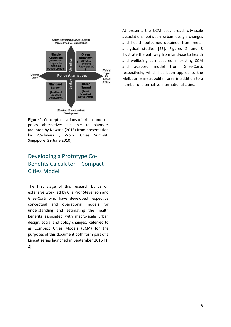

At present, the CCM uses broad, city-scale associations between urban design changes and health outcomes obtained from metaanalytical studies [\[25\]](#page-21-1). Figures 2 and 3 illustrate the pathway from land-use to health and wellbeing as measured in existing CCM and adapted model from Giles-Corti, respectively, which has been applied to the Melbourne metropolitan area in addition to a number of alternative international cities.

<span id="page-7-0"></span>Figure 1. Conceptualisations of urban land-use policy alternatives available to planners (adapted by Newton (2013) from presentation by P.Schwarz , World Cities Summit, Singapore, 29 June 2010).

# Developing a Prototype Co-Benefits Calculator – Compact Cities Model

The first stage of this research builds on extensive work led by CI's Prof Stevenson and Giles-Corti who have developed respective conceptual and operational models for understanding and estimating the health benefits associated with macro-scale urban design, social and policy changes. Referred to as Compact Cities Models (CCM) for the purposes of this document both form part of a Lancet series launched in September 2016 [\[1,](#page-20-17) [2\]](#page-20-18).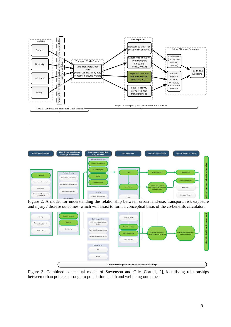

.



Figure 2. A model for understanding the relationship between urban land-use, transport, risk exposure and injury / disease outcomes, which will assist to form a conceptual basis of the co-benefits calculator.



Figure 3. Combined conceptual model of Stevenson and Giles-Corti[\[1,](#page-20-17) [2\]](#page-20-18), identifying relationships between urban policies through to population health and wellbeing outcomes.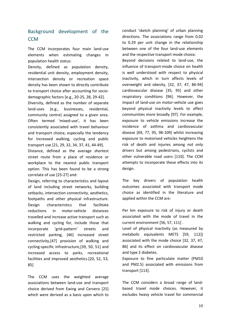# Background development of the **CCM**

The CCM incorporates four main land-use elements when estimating changes in population health status:

Density, defined as population density, residential unit density, employment density, intersection density or recreation space density has been shown to directly contribute to transport choice after accounting for sociodemographic factors [e.g.[, 20-25,](#page-20-15) [28,](#page-21-2) [29-42\]](#page-21-3).

Diversity, defined as the number of separate land-uses (e.g., businesses, residential, community centre) assigned to a given area. Often termed 'mixed-use', it has been consistently associated with travel behaviour and transport choice, especially the tendency for increased walking, cycling and public transport use [\[21,](#page-20-16) [29,](#page-21-3) [32,](#page-21-4) [34,](#page-21-5) [37,](#page-21-6) [41,](#page-21-7) [44-49\]](#page-22-0).

Distance, defined as the average shortest street route from a place of residence or workplace to the nearest public transport option. This has been found to be a strong correlate of use [\[25-27\]](#page-21-1) and:

Design, referring to characteristics and layout of land including street networks, building setbacks, intersection connectivity, aesthetics, footpaths and other physical infrastructure. Design characteristics that facilitate reductions in motor-vehicle distances travelled and increase active transport such as walking and cycling for, include those that incorporate 'grid-pattern' streets and restricted parking, [\[46\]](#page-22-1) increased street connectivity,[\[47\]](#page-22-2) provision of walking and cycling-specific infrastructure,[\[39,](#page-21-8) [50,](#page-22-3) [51\]](#page-22-4) and increased access to parks, recreational facilities and improved aesthetics.[\[20,](#page-20-15) [52,](#page-22-5) [53,](#page-22-6) [85\]](#page-24-2)

The CCM uses the weighted average associations between land-use and transport choice derived from Ewing and Cervero [\[25\]](#page-21-1) which were derived as a basis upon which to

conduct 'sketch planning' of urban planning directions. The associations range from 0.02 to 0.29 per unit change in the relationship between one of the four land-use elements and the respective transport mode choice.

Beyond decisions related to land-use, the influence of transport-mode choice on health is well understood with respect to physical inactivity, which in turn affects levels of overweight and obesity, [\[32,](#page-21-4) [37,](#page-21-6) [47,](#page-22-2) [86-94\]](#page-24-3) cardiovascular disease [\[35,](#page-21-9) [95\]](#page-24-4) and other respiratory conditions [\[96\]](#page-24-5). However, the impact of land-use on motor-vehicle use goes beyond physical inactivity levels to affect communities more broadly [\[97\]](#page-24-6). For example, exposure to vehicle emissions increase the incidence of asthma and cardiovascular disease [\[69,](#page-23-1) [77,](#page-23-4) [95,](#page-24-4) [98-109\]](#page-24-7) whilst increasing exposure to motorised vehicles heightens the risk of death and injuries among not only drivers but among pedestrians, cyclists and other vulnerable road users [\[110\]](#page-25-0). The CCM attempts to incorporate these effects into its design.

The key drivers of population health outcomes associated with transport mode choice as identified in the literature and applied within the CCM are:

Per km exposure to risk of injury or death associated with the mode of travel in the current environment [\[56,](#page-22-9) [57,](#page-22-12) [111\]](#page-25-1) .

Level of physical inactivity (as measured by metabolic equivalents METS [\[59,](#page-22-10) [112\]](#page-25-2)) associated with the mode choice [\[32,](#page-21-4) [37,](#page-21-6) [47,](#page-22-2) [86\]](#page-24-3) and its effect on cardiovascular disease and type 2 diabetes.

Exposure to fine particulate matter (PM10 and PM2.5) associated with emissions from transport [\[113\]](#page-25-3).

The CCM considers a broad range of landbased travel mode choices. However, it excludes heavy vehicle travel for commercial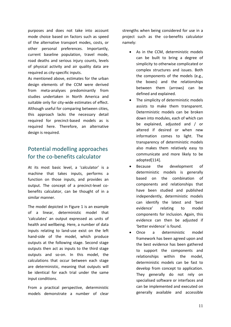purposes and does not take into account mode choice based on factors such as speed of the alternative transport modes, costs, or other personal preferences. Importantly, current baseline population, travel mode, road deaths and serious injury counts, levels of physical activity and air quality data are required as city-specific inputs.

As mentioned above, estimates for the urban design elements of the CCM were derived from meta-analyses predominantly from studies undertaken in North America and suitable only for city-wide estimates of effect. Although useful for comparing between cities, this approach lacks the necessary detail required for precinct-based models as is required here. Therefore, an alternative design is required.

# Potential modelling approaches for the co-benefits calculator

At its most basic level, a 'calculator' is a machine that takes inputs, performs a function on those inputs, and provides an output. The concept of a precinct-level cobenefits calculator, can be thought of in a similar manner.

The model depicted in Figure 1 is an example of a linear, deterministic model that 'calculates' an output expressed as units of health and wellbeing. Here, a number of data inputs relating to land-use exist on the left hand-side of the model, which produce outputs at the following stage. Second stage outputs then act as inputs to the third stage outputs and so-on. In this model, the calculations that occur between each stage are deterministic, meaning that outputs will be identical for each trial under the same input conditions.

From a practical perspective, deterministic models demonstrate a number of clear strengths when being considered for use in a project such as the co-benefits calculator namely:

- As in the CCM, deterministic models can be built to bring a degree of simplicity to otherwise complicated or complex structures and issues. Both the components of the models (e.g., the boxes) and the relationships between them (arrows) can be defined and explained.
- The simplicity of deterministic models assists to make them transparent. Deterministic models can be broken down into modules, each of which can be explained, adjusted and / or altered if desired or when new information comes to light. The transparency of deterministic models also makes them relatively easy to communicate and more likely to be adopted[\[114\]](#page-25-4).
- Because the development of deterministic models is generally based on the combination of components and relationships that have been studied and published independently, deterministic models can identify the latest and 'best evidence' relating to model components for inclusion. Again, this evidence can then be adjusted if 'better evidence' is found.
- Once a deterministic model framework has been agreed upon and the best evidence has been gathered to support the components and relationships within the model, deterministic models can be fast to develop from concept to application. They generally do not rely on specialised software or interfaces and can be implemented and executed on generally available and accessible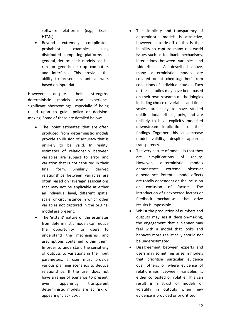software platforms (e.g., Excel, HTML).

Beyond extremely complicated, probabilistic examples using distributed computing platforms, in general, deterministic models can be run on generic desktop computers and interfaces. This provides the ability to present 'instant' answers based on input data.

However, despite their strengths, deterministic models also experience significant shortcomings, especially if being relied upon to guide policy or decisionmaking. Some of these are detailed below:

- The 'point estimates' that are often produced from deterministic models provide an illusion of accuracy that is unlikely to be valid. In reality, estimates of relationship between variables are subject to error and variation that is not captured in their final form. Similarly, derived relationships between variables are often based on 'average' associations that may not be applicable at either an individual level, different spatial scale, or circumstance in which other variables not captured in the original model are present.
- The 'instant' nature of the estimates from deterministic models can reduce the opportunity for users to understand the mechanisms and assumptions contained within them. In order to understand the sensitivity of outputs to variations in the input parameters, a user must provide various planning scenarios to deduce relationships. If the user does not have a range of scenarios to present, even apparently transparent deterministic models are at risk of appearing 'black box'.
- The simplicity and transparency of deterministic models is attractive, however, a trade-off of this is their inability to capture many real-world issues such as feedback mechanisms, interactions between variables and 'side-effects'. As described above, many deterministic models are collated or 'stitched-together' from collections of individual studies. Each of these studies may have been based on their own research methodologies including choice of variables and timescales, are likely to have studied unidirectional effects, only, and are unlikely to have explicitly modelled downstream implications of their findings. Together, this can decrease model validity, despite apparent transparency.
- The very nature of models is that they are simplifications of reality. However, deterministic models demonstrate extreme observer dependence. Potential model effects are totally dependent on the inclusion or exclusion of factors. The introduction of unexpected factors or feedback mechanisms that drive results is impossible.
- Whilst the production of numbers and outputs may assist decision-making, the engagement that a planner may feel with a model that looks and behaves more realistically should not be underestimated.
- Disagreement between experts and users may sometimes arise in models that prioritise particular evidence over others, or where evidence of relationships between variables is either contested or volatile. This can result in mistrust of models or volatility in outputs when new evidence is provided or prioritised.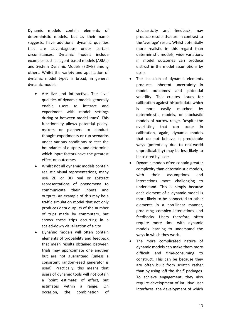Dynamic models contain elements of deterministic models, but as their name suggests, have additional dynamic qualities that are advantageous under certain circumstances. Dynamic models include examples such as agent-based models (ABMs) and System Dynamic Models (SDMs) among others. Whilst the variety and application of dynamic model types is broad, in general dynamic models:

- Are live and interactive. The 'live' qualities of dynamic models generally enable users to interact and experiment with model settings during or between model 'runs'. This functionality allows potential policymakers or planners to conduct thought experiments or run scenarios under various conditions to test the boundaries of outputs, and determine which input factors have the greatest effect on outcomes.
- Whilst not all dynamic models contain realistic visual representations, many use 2D or 3D real or abstract representations of phenomena to communicate their inputs and outputs. An example of this may be a traffic simulation model that not only produces data outputs of the number of trips made by commuters, but shows these trips occurring in a scaled-down visualisation of a city
- Dynamic models will often contain elements of probability and feedback that mean results obtained between trials may approximate one another but are not guaranteed (unless a consistent random-seed generator is used). Practically, this means that users of dynamic tools will not obtain a 'point estimate' of effect, but estimates within a range. On occasion, the combination of

stochasticity and feedback may produce results that are in contrast to the 'average' result. Whilst potentially more realistic in this regard than deterministic models, wide variations in model outcomes can produce distrust in the model assumptions by users.

- The inclusion of dynamic elements produces inherent uncertainty in model outcomes and potential volatility. This creates issues for calibration against historic data which is more easily matched by deterministic models, or stochastic models of narrow range. Despite the overfitting that can occur in calibration, again, dynamic models that do not behave in predictable ways (potentially due to real-world unpredictability) may be less likely to be trusted by users.
- Dynamic models often contain greater complexity than deterministic models, with their assumptions and interactions more challenging to understand. This is simply because each element of a dynamic model is more likely to be connected to other elements in a non-linear manner, producing complex interactions and feedbacks. Users therefore often require more time with dynamic models learning to understand the ways in which they work.
- The more complicated nature of dynamic models can make them more difficult and time-consuming to construct. This can be because they are often built from scratch rather than by using 'off the shelf' packages. To achieve engagement, they also require development of intuitive user interfaces, the development of which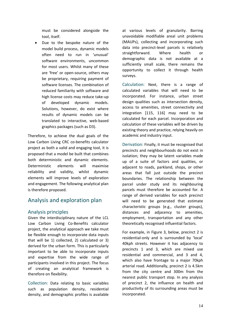must be considered alongside the tool, itself.

Due to the bespoke nature of the model build process, dynamic models often need to run in 'unusual' software environments, uncommon for most users. Whilst many of these are 'free' or open-source, others may be proprietary, requiring payment of software licenses. The combination of reduced familiarity with software and high license costs may reduce take-up of developed dynamic models. Solutions, however, do exist where results of dynamic models can be translated to interactive, web-based graphics packages (such as D3).

Therefore, to achieve the dual goals of the Low Carbon Living CRC co-benefits calculator project as both a valid and engaging tool, it is proposed that a model be built that combines both deterministic and dynamic elements. Deterministic elements will maximise reliability and validity, whilst dynamic elements will improve levels of exploration and engagement. The following analytical plan is therefore proposed.

# Analysis and exploration plan

### Analysis principles

Given the interdisciplinary nature of the LCL Low Carbon Living Co-Benefits calculator project, the analytical approach we take must be flexible enough to incorporate data inputs that will be 1) collected, 2) calculated or 3) derived for the urban form. This is particularly important to be able to incorporate inputs and expertise from the wide range of participants involved in this project. The focus of creating an analytical framework is therefore on flexibility.

Collection: Data relating to basic variables such as population density, residential density, and demographic profiles is available

at various levels of granularity. Barring unavoidable modifiable areal unit problems (MAUPs), collecting and incorporating such data into precinct-level parcels is relatively straightforward. Where health or demographic data is not available at a sufficiently small scale, there remains the opportunity to collect it through health surveys.

Calculation: Next, there is a range of calculated variables that will need to be incorporated. For instance, urban street design qualities such as intersection density, access to amenities, street connectivity and integration [\[115,](#page-25-5) [116\]](#page-25-6) may need to be calculated for each parcel. Incorporation and calculation of these variables will be driven by existing theory and practice, relying heavily on academic and industry input.

Derivation: Finally, it must be recognised that precincts and neighbourhoods do not exist in isolation; they may be latent variables made up of a suite of factors and qualities, or adjacent to roads, parkland, shops, or other areas that fall just outside the precinct boundaries. The relationship between the parcel under study and its neighbouring parcels must therefore be accounted for. A range of derived variables for each precinct will need to be generated that estimate characteristic groups (e.g., cluster groups), distances and adjacency to amenities, employment, transportation and any other theoretically recognised influential factors.

For example, in [Figure 3,](#page-14-0) below, precinct 2 is residential-only and is surrounded by 'local' 40kph streets. However it has adjacency to precincts 1 and 3, which are mixed use residential and commercial, and 3 and 4, which also have frontage to a major 70kph arterial road. Additionally, precinct 2 is 4.5km from the city centre and 300m from the nearest public transport stop. In any analysis of precinct 2, the influence on health and productivity of its surrounding areas must be incorporated.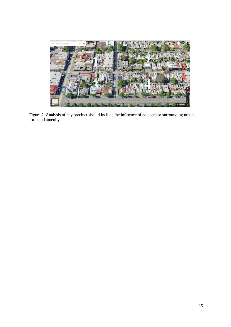

<span id="page-14-0"></span>Figure 2. Analysis of any precinct should include the influence of adjacent or surrounding urban form and amenity.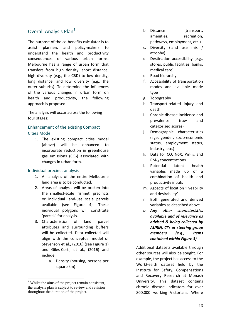## Overall Analysis Plan<sup>[1](#page-15-0)</sup>

The purpose of the co-benefits calculator is to assist planners and policy-makers to understand the health and productivity consequences of various urban forms. Melbourne has a range of urban form that transfers from high density, short distance, high diversity (e.g., the CBD) to low density, long distance, and low diversity (e.g., the outer suburbs). To determine the influences of the various changes in urban form on health and productivity, the following approach is proposed:

The analysis will occur across the following four stages:

### Enhancement of the existing Compact Cities Model

1. The existing compact cities model (above) will be enhanced to incorporate reduction in greenhouse gas emissions  $(CO<sub>2</sub>)$  associated with changes in urban form.

#### Individual precinct analysis

- 1. An analysis of the entire Melbourne land area is to be conducted.
- 2. Areas of analysis will be broken into the smallest-scale 'fishnet' precincts or individual land-use scale parcels available (see [Figure 4\)](#page-17-0). These individual polygons will constitute 'parcels' for analysis.
- 3. Characteristics of land parcel attributes and surrounding buffers will be collected. Data collected will align with the conceptual model of Stevenson et al., (2016) (see Figure 1) and Giles-Corti, et al., (2016) and include:
	- a. Density (housing, persons per square km)

<u>.</u>

- b. Distance (transport, amenities, recreation, pathways, employment, etc.)
- c. Diversity (land use mix / atrophy)
- d. Destination accessibility (e.g., stores, public facilities, banks, medical care)
- e. Road hierarchy
- f. Accessibility of transportation modes and available mode type
- g. Topography
- h. Transport-related injury and death
- i. Chronic disease incidence and prevalence (raw and categorised scores)
- j. Demographic characteristics (age, gender, socio-economic status, employment status, industry, etc.)
- k. Data for CO, NoX,  $Pm_{2.5}$ , and PM<sub>10</sub> concentrations
- l. Potential latent health variables made up of a combination of health and productivity inputs
- m. Aspects of location 'liveability and desirability'
- n. Both generated and derived variables as described above
- *o. Any other characteristics available and of relevance as advised & being collected by AURIN, CI's or steering group members (e.g., items contained within Figure 3)*

Additional datasets available through other sources will also be sought. For example, the project has access to the WorkHealth dataset held by the Institute for Safety, Compensations and Recovery Research at Monash University. This dataset contains chronic disease indicators for over 800,000 working Victorians. Where

<span id="page-15-0"></span> $<sup>1</sup>$  Whilst the aims of the project remain consistent,</sup> the analysis plan is subject to review and revision throughout the duration of the project.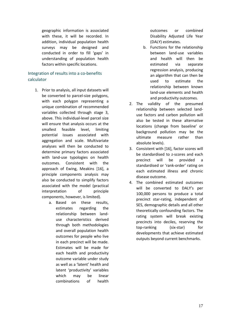geographic information is associated with these, it will be recorded. In addition, individual population health surveys may be designed and conducted in order to fill 'gaps' in understanding of population health factors within specific locations.

### Integration of results into a co-benefits calculator

- 1. Prior to analysis, all input datasets will be converted to parcel-size polygons, with each polygon representing a unique combination of recommended variables collected through stage 3, above. This individual-level parcel size will ensure that analysis occurs at the smallest feasible level, limiting potential issues associated with aggregation and scale. Multivariate analyses will then be conducted to determine primary factors associated with land-use typologies on health outcomes. Consistent with the approach of [Ewing, Meakins \[16\],](#page-20-13) a principle components analysis may also be conducted to simplify factors associated with the model (practical interpretation of principle components, however, is limited).
	- a. Based on these results, estimates regarding the relationship between landuse characteristics derived through both methodologies and overall population health outcomes for people who live in each precinct will be made. Estimates will be made for each health and productivity outcome variable under study as well as a 'latent' health and latent 'productivity' variables which may be linear combinations of health

outcomes or combined Disability Adjusted Life Year (DALY) estimates.

- b. Functions for the relationship between land-use variables and health will then be estimated via separate regression analysis, producing an algorithm that can then be used to estimate the relationship between known land-use elements and health and productivity outcomes.
- 2. The validity of the presumed relationship between selected landuse factors and carbon pollution will also be tested in these alternative locations (change from baseline' or background pollution may be the ultimate measure rather than absolute levels).
- 3. Consistent with [\[16\]](#page-20-13), factor scores will be standardised to z-scores and each precinct will be provided a standardised or 'rank-order' rating on each estimated illness and chronic disease outcome.
- 4. The combined estimated outcomes will be converted to DALY's per 100,000 persons to produce a total precinct star-rating, independent of SES, demographic details and all other theoretically confounding factors. The rating system will break existing precincts into deciles, reserving the top-ranking (six-star) for developments that achieve estimated outputs beyond current benchmarks.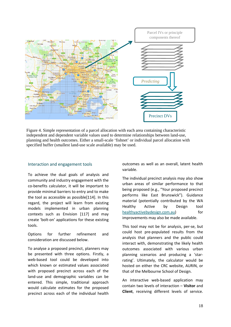

<span id="page-17-0"></span>Figure 4. Simple representation of a parcel allocation with each area containing characteristic independent and dependent variable values used to determine relationships between land-use, planning and health outcomes. Either a small-scale 'fishnet' or individual parcel allocation with specified buffer (smallest land-use scale available) may be used.

#### Interaction and engagement tools

To achieve the dual goals of analysis and community and industry engagement with the co-benefits calculator, it will be important to provide minimal barriers to entry and to make the tool as accessible as possible[\[114\]](#page-25-4). In this regard, the project will learn from existing models implemented in urban planning contexts such as Envision [\[117\]](#page-25-7) and may create 'bolt-on' applications for these existing tools.

Options for further refinement and consideration are discussed below.

To analyse a proposed precinct, planners may be presented with three options. Firstly, a web-based tool could be developed into which known or estimated values associated with proposed precinct across each of the land-use and demographic variables can be entered. This simple, traditional approach would calculate estimates for the proposed precinct across each of the individual health

outcomes as well as an overall, latent health variable.

The individual precinct analysis may also show urban areas of similar performance to that being proposed (e.g., "Your proposed precinct performs like East Brunswick"). Guidance material (potentially contributed by the WA Healthy Active by Design tool [healthyactivebydesign.com.au\)](http://www.healthyactivebydesign.com.au/) for improvements may also be made available.

This tool may not be for analysis, per-se, but could host pre-populated results from the analysis that planners and the public could interact with, demonstrating the likely health outcomes associated with various urban planning scenarios and producing a 'starrating'. Ultimately, the calculator would be hosted on either the CRC website, AURIN, or that of the Melbourne School of Design.

An interactive web-based application may contain two levels of interaction – **Visitor** and **Client**, receiving different levels of service.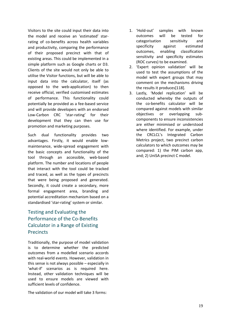Visitors to the site could input their data into the model and receive an 'estimated' starrating of co-benefits across health variables and productivity, comparing the performance of their proposed precinct with that of existing areas. This could be implemented in a simple platform such as Google charts or D3. Clients of the site would not only be able to utilise the Visitor functions, but will be able to input data into the calculator, itself (as opposed to the web-application) to then receive official, verified customised estimates of performance. This functionality could potentially be provided as a fee-based service and will provide developers with an endorsed Low-Carbon CRC 'star-rating' for their development that they can then use for promotion and marketing purposes.

Such dual functionality provides two advantages. Firstly, it would enable lowmaintenance, wide-spread engagement with the basic concepts and functionality of the tool through an accessible, web-based platform. The number and locations of people that interact with the tool could be tracked and traced, as well as the types of precincts that were being proposed and generated. Secondly, it could create a secondary, more formal engagement area, branding and potential accreditation mechanism based on a standardised 'star-rating' system or similar.

# Testing and Evaluating the Performance of the Co-Benefits Calculator in a Range of Existing **Precincts**

Traditionally, the purpose of model validation is to determine whether the predicted outcomes from a modelled scenario accords with real-world events. However, validation in this sense is not always possible – especially in 'what-if' scenarios as is required here. Instead, other validation techniques will be used to ensure models are viewed with sufficient levels of confidence.

The validation of our model will take 3 forms:

- 1. 'Hold-out' samples with known outcomes will be tested for categorisation sensitivity and specificity against estimated outcomes, enabling classification sensitivity and specificity estimates (ROC curves) to be examined.
- 2. 'Expert opinion validation' will be used to test the assumptions of the model with expert groups that may comment on the mechanisms driving the results it produces[\[118\]](#page-25-8).
- 3. Lastly, 'Model replication' will be conducted whereby the outputs of the co-benefits calculator will be compared against models with similar objectives or overlapping subcomponents to ensure inconsistencies are either minimised or understood where identified. For example, under the CRCLCL's [Integrated Carbon](http://www.lowcarbonlivingcrc.com.au/research/program-2-low-carbon-precincts/rp2007-integrated-carbon-metrics-%E2%80%93-multi-scale-life-cycle)  [Metrics](http://www.lowcarbonlivingcrc.com.au/research/program-2-low-carbon-precincts/rp2007-integrated-carbon-metrics-%E2%80%93-multi-scale-life-cycle) project, two precinct carbon calculators to which outcomes may be compared: 1) the [PIM carbon app,](http://pim.mutopia.com.au/login) and; 2) UniSA precinct C model.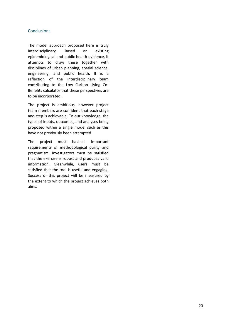### **Conclusions**

The model approach proposed here is truly interdisciplinary. Based on existing epidemiological and public health evidence, it attempts to draw these together with disciplines of urban planning, spatial science, engineering, and public health. It is a reflection of the interdisciplinary team contributing to the Low Carbon Living Co-Benefits calculator that these perspectives are to be incorporated.

The project is ambitious, however project team members are confident that each stage and step is achievable. To our knowledge, the types of inputs, outcomes, and analyses being proposed within a single model such as this have not previously been attempted.

The project must balance important requirements of methodological purity and pragmatism. Investigators must be satisfied that the exercise is robust and produces valid information. Meanwhile, users must be satisfied that the tool is useful and engaging. Success of this project will be measured by the extent to which the project achieves both aims.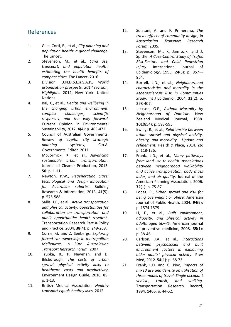# References

- <span id="page-20-17"></span>1. Giles-Corti, B., et al., *City planning and population health: a global challenge.* The Lancet.
- <span id="page-20-18"></span>2. Stevenson, M., et al., *Land use, transport, and population health: estimating the health benefits of compact cities.* The Lancet, 2016.
- <span id="page-20-0"></span>3. Division, U.N.D.o.E.a.S.A.P., *World urbanization prospects. 2014 revision, Highlights.* 2014, New York: United Nations.
- <span id="page-20-1"></span>4. Bai, X., et al., *Health and wellbeing in the changing urban environment: complex challenges, scientific responses, and the way forward.* Current Opinion in Environmental Sustainability, 2012. **4**(4): p. 465-472.
- <span id="page-20-2"></span>5. Council of Australian Governments, *Review of capital city strategic planning systems*, C.o.A. Governments, Editor. 2011.
- <span id="page-20-3"></span>6. McCormick, K., et al., *Advancing sustainable urban transformation.* Journal of Cleaner Production, 2013. **50**: p. 1-11.
- <span id="page-20-4"></span>7. Newton, P.W., *Regenerating cities: technological and design innovation for Australian suburbs.* Building Research & Information, 2013. **41**(5): p. 575-588.
- <span id="page-20-5"></span>8. Sallis, J.F., et al., *Active transportation and physical activity: opportunities for collaboration on transportation and public opportunities health research.* Transportation Research Part a-Policy and Practice, 2004. **38**(4): p. 249-268.
- <span id="page-20-6"></span>9. Currie, G. and Z. Senbergs. *Exploring forced car ownership in metropolitan Melbourne*. in *30th Australasian Transport Research Forum*. 2007.
- <span id="page-20-7"></span>10. Trubka, R., P. Newman, and D. Bilsborough, *The costs of urban sprawl: physical activity links to healthcare costs and productivity.* Environment Design Guide, 2010. **85**: p. 1-13.
- <span id="page-20-8"></span>11. British Medical Association, *Healthy transport equals healthy lives.* 2012.
- <span id="page-20-9"></span>12. Solatani, A. and F. Primerano, *The travel effects of community design*, in *Australasian Transport Research Forum*. 2005.
- <span id="page-20-10"></span>13. Stevenson, M., K. Jamrozik, and J. Spittle, *A Case-Control Study of Traffic Risk-Factors and Child Pedestrian Injury.* International Journal of Epidemiology, 1995. **24**(5): p. 957— 964.
- <span id="page-20-11"></span>14. Borrell, L.N., et al., *Neighbourhood characteristics and mortality in the Atherosclerosis Risk in Communities Study.* Int J Epidemiol, 2004. **33**(2): p. 398-407.
- <span id="page-20-12"></span>15. Jackson, G.P., *Asthma Mortality by Neighborhood of Domicile.* New Zealand Medical Journal, 1988. **101**(854): p. 593-595.
- <span id="page-20-13"></span>16. Ewing, R., et al., *Relationship between urban sprawl and physical activity, obesity, and morbidity - Update and refinement.* Health & Place, 2014. **26**: p. 118-126.
- <span id="page-20-14"></span>17. Frank, L.D., et al., *Many pathways from land use to health: associations between neighborhood walkability and active transportation, body mass index, and air quality.* Journal of the American Planning Association, 2006. **72**(1): p. 75-87.
- 18. Lopez, R., *Urban sprawl and risk for being overweight or obese.* American Journal of Public Health, 2004. **94**(9): p. 1574-1579.
- 19. Li, F., et al., *Built environment, adiposity, and physical activity in adults aged 50–75.* American journal of preventive medicine, 2008. **35**(1): p. 38-46.
- <span id="page-20-15"></span>20. Carlson, J.A., et al., *Interactions between psychosocial and built environment factors in explaining older adults' physical activity.* Prev Med, 2012. **54**(1): p. 68-73.
- <span id="page-20-16"></span>21. Frank, L.D. and G. Pivo, *Impacts of mixed use and density on utilisation of three modes of travel: Single occupant vehicle, transit, and walking.* Transportation Research Record, 1994. **1466**: p. 44-52.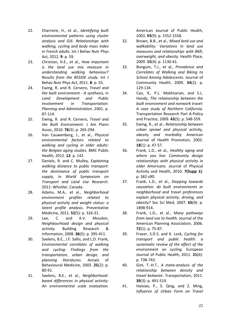- 22. Charreire, H., et al., *Identifying built environmental patterns using cluster analysis and GIS: Relationships with walking, cycling and body mass index in French adults.* Int J Behav Nutr Phys Act, 2012. **9**: p. 59.
- 23. Christian, H.E., et al., *How important is the land use mix measure in understanding walking behaviour? Results from the RESIDE study.* Int J Behav Nutr Phys Act, 2011. **8**: p. 55.
- <span id="page-21-0"></span>24. Ewing, R. and R. Cervero, *Travel and the built environment - A synthesis*, in *Land Development and Public Involvement in Transportation: Planning and Administration*. 2001. p. 87-114.
- <span id="page-21-1"></span>25. Ewing, R. and R. Cervero, *Travel and the Built Environment.* J Am Plann Assoc, 2010. **76**(3): p. 265-294.
- 26. Van Cauwenberg, J., et al., *Physical environmental factors related to walking and cycling in older adults: the Belgian aging studies.* BMC Public Health, 2012. **12**: p. 142.
- 27. Daniels, R. and C. Mulley, *Explaining walking distance to public transport: the dominance of public transport supply*, in *World Symposium on Transport and Land Use Research*. 2011: Whistler, Canada.
- <span id="page-21-2"></span>28. Adams, M.A., et al., *Neighborhood environment profiles related to physical activity and weight status: a latent profile analysis.* Preventative Medicine, 2011. **52**(5): p. 326-31.
- <span id="page-21-3"></span>29. Lee, C. and A.V. Moudon, *Neighbourhood design and physical activity.* Building Research & Information, 2008. **36**(5): p. 395-411.
- 30. Saelens, B.E., J.F. Sallis, and L.D. Frank, *Environmental correlates of walking and cycling: Findings from the transportation, urban design, and planning literatures.* Annals of Behavioural Medicine, 2003. **25**(2): p. 80-91.
- 31. Saelens, B.E., et al., *Neighborhoodbased differences in physical activity: An environmental scale evaluation.*

American Journal of Public Health, 2003. **93**(9): p. 1552-1558.

- <span id="page-21-4"></span>32. Brown, B.B., et al., *Mixed land use and walkability: Variations in land use measures and relationships with BMI, overweight, and obesity.* Health Place, 2009. **15**(4): p. 1130-41.
- 33. Bungum, T.J., et al., *Prevalence and Correlates of Walking and Biking to School Among Adolescents.* Journal of Community Health, 2009. **34**(2): p. 129-134.
- <span id="page-21-5"></span>34. Cao, X., P.L. Mokhtarian, and S.L. Handy, *The relationship between the built environment and nonwork travel: A case study of Northern California.* Transportation Research Part A-Policy and Practice, 2009. **43**(5): p. 548-559.
- <span id="page-21-9"></span>35. Ewing, R., et al., *Relationship between urban sprawl and physical activity, obesity and morbidity* American Journal of Health Promotion, 2003. **18**(1): p. 47-57.
- 36. Frank, L.D., et al., *Healthy aging and where you live: Community design relationships with physical activity in older Americans.* Journal of Physical Acitvity and Health, 2010. **7(Supp 1)**: p. S82-s90.
- <span id="page-21-6"></span>37. Frank, L.D., et al., *Stepping towards causation: do built environments or neighborhood and travel preferences explain physical activity, driving, and obesity?* Soc Sci Med, 2007. **65**(9): p. 1898-914.
- 38. Frank, L.D., et al., *Many pathways from land use to health.* Journal of the American Planning Association, 2006. **72**(1): p. 75-87.
- <span id="page-21-8"></span>39. Fraser, S.D.S. and K. Lock, *Cycling for transport and public health: a systematic review of the effect of the environment on cycling.* European Journal of Public Health, 2011. **21**(6): p. 738-743.
- 40. Gim, T.-H.T., *A meta-analysis of the relationship between density and travel behavior.* Transportation, 2011. **39**(3): p. 491-519.
- <span id="page-21-7"></span>41. Haixiao, P., S. Qing, and Z. Ming, *Influence of Urban Form on Travel*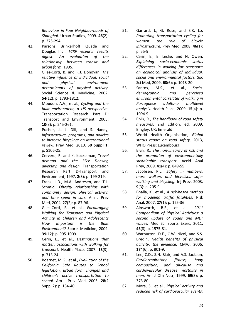*Behaviour in Four Neighbourhoods of Shanghai.* Urban Studies, 2009. **46**(2): p. 275-294.

- 42. Parsons Brinkerhoff Quade and Douglas Inc., *TCRP research results digest: An evaluation of the relationship between transit and urban form*. 1995.
- 43. Giles-Corti, B. and R.J. Donovan, *The relative influence of individual, social and physical environment determinants of physical activity.* Social Science & Medicine, 2002. **54**(12): p. 1793-1812.
- <span id="page-22-0"></span>44. Moudon, A.V., et al., *Cycling and the built environment, a US perspective.* Transportation Research Part D: Transport and Environment, 2005. **10**(3): p. 245-261.
- 45. Pucher, J., J. Dill, and S. Handy, *Infrastructure, programs, and policies to increase bicycling: an international review.* Prev Med, 2010. **50 Suppl 1**: p. S106-25.
- <span id="page-22-1"></span>46. Cervero, R. and K. Kockelman, *Travel demand and the 3Ds: Density, diversity, and design.* Transportation Research Part D-Transport and Environment, 1997. **2**(3): p. 199-219.
- <span id="page-22-2"></span>47. Frank, L.D., M.A. Andresen, and T.L. Schmid, *Obesity relationships with community design, physical activity, and time spent in cars.* Am J Prev Med, 2004. **27**(2): p. 87-96.
- 48. Giles-Corti, B., et al., *Encouraging Walking for Transport and Physical Activity in Children and Adolescents How Important is the Built Environment?* Sports Medicine, 2009. **39**(12): p. 995-1009.
- 49. Cerin, E., et al., *Destinations that matter: associations with walking for transport.* Health Place, 2007. **13**(3): p. 713-24.
- <span id="page-22-3"></span>50. Boarnet, M.G., et al., *Evaluation of the California Safe Routes to School legislation: urban form changes and children's active transportation to school.* Am J Prev Med, 2005. **28**(2 Suppl 2): p. 134-40.
- <span id="page-22-4"></span>51. Garrard, J., G. Rose, and S.K. Lo, *Promoting transportation cycling for women: the role of bicycle infrastructure.* Prev Med, 2008. **46**(1): p. 55-9.
- <span id="page-22-5"></span>52. Cerin, E., E. Leslie, and N. Owen, *Explaining socio-economic status differences in walking for transport: an ecological analysis of individual, social and environmental factors.* Soc Sci Med, 2009. **68**(6): p. 1013-20.
- <span id="page-22-6"></span>53. Santos, M.S., et al., *Sociodemographic and perceived environmental correlates of walking in Portuguese adults--a multilevel analysis.* Health Place, 2009. **15**(4): p. 1094-9.
- <span id="page-22-7"></span>54. Elvik, R., *The handbook of road safety measures*. 2nd Edition. ed. 2009, Bingley, UK: Emerald.
- <span id="page-22-8"></span>55. World Health Organisation, *Global status report on road safety*. 2013, WHO Press: Luxembourg.
- <span id="page-22-9"></span>56. Elvik, R., *The non-linearity of risk and the promotion of environmentally sustainable transport.* Accid Anal Prev, 2009. **41**(4): p. 849-55.
- <span id="page-22-12"></span>57. Jacobsen, P.L., *Safety in numbers: more walkers and bicyclists, safer walking and bicycling.* Inj Prev, 2003. **9**(3): p. 205-9.
- 58. Bhalla, K., et al., *A risk-based method for modeling traffic fatalities.* Risk Anal, 2007. **27**(1): p. 125-36.
- <span id="page-22-10"></span>59. Ainsworth, B.E., et al., *2011 Compendium of Physical Activities: a second update of codes and MET values.* Med Sci Sports Exerc, 2011. **43**(8): p. 1575-81.
- <span id="page-22-11"></span>60. Warburton, D.E., C.W. Nicol, and S.S. Bredin, *Health benefits of physical activity: the evidence.* CMAJ, 2006. **174**(6): p. 801-9.
- 61. Lee, C.D., S.N. Blair, and A.S. Jackson, *Cardiorespiratory fitness, body composition, and all-cause and cardiovascular disease mortality in men.* Am J Clin Nutr, 1999. **69**(3): p. 373-80.
- 62. Mora, S., et al., *Physical activity and reduced risk of cardiovascular events:*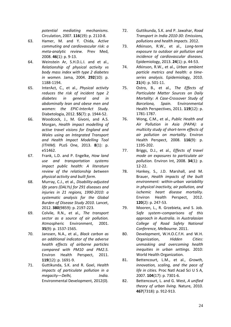*potential mediating mechanisms.* Circulation, 2007. **116**(19): p. 2110-8.

- 63. Hamer, M. and Y. Chida, *Active commuting and cardiovascular risk: a meta-analytic review.* Prev Med, 2008. **46**(1): p. 9-13.
- 64. Weinstein Ar, S.H.D.L.I. and et al., *Relationship of physical activity vs body mass index with type 2 diabetes in women.* Jama, 2004. **292**(10): p. 1188-1194.
- 65. InterAct, C., et al., *Physical activity reduces the risk of incident type 2 diabetes in general and in abdominally lean and obese men and women: the EPIC-InterAct Study.* Diabetologia, 2012. **55**(7): p. 1944-52.
- 66. Woodcock, J., M. Givoni, and A.S. Morgan, *Health impact modelling of active travel visions for England and Wales using an Integrated Transport and Health Impact Modelling Tool (ITHIM).* PLoS One, 2013. **8**(1): p. e51462.
- 67. Frank, L.D. and P. Engelke, *How land use and transportation systems impact public health: A literature review of the relationship between physical activity and built form*.
- <span id="page-23-0"></span>68. Murray, C.J., et al., *Disability-adjusted life years (DALYs) for 291 diseases and injuries in 21 regions, 1990-2010: a systematic analysis for the Global Burden of Disease Study 2010.* Lancet, 2012. **380**(9859): p. 2197-223.
- <span id="page-23-1"></span>69. Colvile, R.N., et al., *The transport sector as a source of air pollution.* Atmospheric Environment, 2001. **35**(9): p. 1537-1565.
- <span id="page-23-2"></span>70. Janssen, N.A., et al., *Black carbon as an additional indicator of the adverse health effects of airborne particles compared with PM10 and PM2.5.* Environ Health Perspect, 2011. **119**(12): p. 1691-9.
- <span id="page-23-3"></span>71. Guttikunda, S.K. and R. Goel, *Health impacts of particulate pollution in a megacity—Delhi, India.* Environmental Development, 2012(0).
- 72. Guttikunda, S.K. and P. Jawahar, *Road Transport in India 2010-30: Emissions, pollutions and health impacts*. 2012.
- 73. Atkinson, R.W., et al., *Long-term exposure to outdoor air pollution and incidence of cardiovascular diseases.* Epidemiology, 2013. **24**(1): p. 44-53.
- 74. Atkinson, R.W., et al., *Urban ambient particle metrics and health: a timeseries analysis.* Epidemiology, 2010. **21**(4): p. 501-11.
- 75. Ostro, B., et al., *The Effects of Particulate Matter Sources on Daily Mortality: A Case-Crossover Study of Barcelona, Spain.* Environmental Health Perspectives, 2011. **119**(12): p. 1781-1787.
- 76. Wong, C.M., et al., *Public Health and Air Pollution in Asia (PAPA): a multicity study of short-term effects of air pollution on mortality.* Environ Health Perspect, 2008. **116**(9): p. 1195-202.
- <span id="page-23-4"></span>77. Briggs, D.J., et al., *Effects of travel mode on exposures to particulate air pollution.* Environ Int, 2008. **34**(1): p. 12-22.
- <span id="page-23-5"></span>78. Hankey, S., J.D. Marshall, and M. Brauer, *Health impacts of the built environment: within-urban variability in physical inactivity, air pollution, and ischemic heart disease mortality.* Environ Health Perspect, 2012. **120**(2): p. 247-53.
- <span id="page-23-6"></span>79. Mooren, L., R. Grzebieta, and S. Job. *Safe system–comparisons of this approach in Australia*. in *Australasian College of Road Safety National Conference, Melbourne*. 2011.
- <span id="page-23-7"></span>80. Development, W.H.O.C.f.H. and W.H. Organization, *Hidden Cities: unmasking and overcoming health inequities in urban settings*. 2010: World Health Organization.
- <span id="page-23-8"></span>81. Bettencourt, L.M., et al., *Growth, innovation, scaling, and the pace of life in cities.* Proc Natl Acad Sci U S A, 2007. **104**(17): p. 7301-6.
- <span id="page-23-9"></span>82. Bettencourt, L. and G. West, *A unified theory of urban living.* Nature, 2010. **467**(7318): p. 912-913.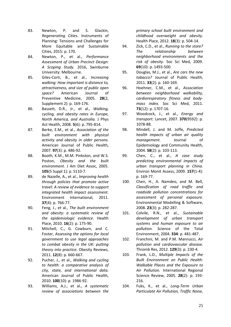- <span id="page-24-0"></span>83. Newton, P. and S. Glackin, *Regenerating Cities.* Instruments of Planning: Tensions and Challenges for More Equitable and Sustainable Cities, 2015: p. 170.
- <span id="page-24-1"></span>84. Newton, P., et al., *Performance Assessment of Urban Precinct Design: A Scoping Study*. 2016, Swinburne University: Melbourne.
- <span id="page-24-2"></span>85. Giles-Corti, B., et al., *Increasing walking: How important is distance to, attractiveness, and size of public open space?* American Journal of Preventive Medicine, 2005. **28**(2, Supplement 2): p. 169-176.
- <span id="page-24-3"></span>86. Bassett, D.R., Jr., et al., *Walking, cycling, and obesity rates in Europe, North America, and Australia.* J Phys Act Health, 2008. **5**(6): p. 795-814.
- 87. Berke, E.M., et al., *Association of the built environment with physical activity and obesity in older persons.* American Journal of Public Health, 2007. **97**(3): p. 486-92.
- 88. Booth, K.M., M.M. Pinkston, and W.S. Poston, *Obesity and the built environment.* J Am Diet Assoc, 2005. **105**(5 Suppl 1): p. S110-7.
- 89. de Nazelle, A., et al., *Improving health through policies that promote active travel: A review of evidence to support integrated health impact assessment.* Environment International, 2011. **37**(4): p. 766-77.
- 90. Feng, J., et al., *The built environment and obesity: a systematic review of the epidemiologic evidence.* Health Place, 2010. **16**(2): p. 175-90.
- 91. Mitchell, C., G. Cowburn, and C. Foster, *Assessing the options for local government to use legal approaches to combat obesity in the UK: putting theory into practice.* Obesity Reviews, 2011. **12**(8): p. 660-667.
- 92. Pucher, J., et al., *Walking and cycling to health: a comparative analysis of city, state, and international data.* American Journal of Public Health, 2010. **100**(10): p. 1986-92.
- 93. Williams, A.J., et al., *A systematic review of associations between the*

*primary school built environment and childhood overweight and obesity.* Health Place, 2012. **18**(3): p. 504-14.

- 94. Zick, C.D., et al., *Running to the store? The relationship between neighborhood environments and the risk of obesity.* Soc Sci Med, 2009. **69**(10): p. 1493-500.
- <span id="page-24-4"></span>95. Douglas, M.J., et al., *Are cars the new tobacco?* Journal of Public Health, 2011. **33**(2): p. 160-169.
- <span id="page-24-5"></span>96. Hoehner, C.M., et al., *Association between neighborhood walkability, cardiorespiratory fitness and bodymass index.* Soc Sci Med, 2011. **73**(12): p. 1707-16.
- <span id="page-24-6"></span>97. Woodcock, J., et al., *Energy and transport.* Lancet, 2007. **370**(9592): p. 1078-88.
- <span id="page-24-7"></span>98. Mindell, J. and M. Joffe, *Predicted health impacts of urban air quality management.* Journal of Epidemiology and Community Health, 2004. **58**(2): p. 103-113.
- 99. Chen, C., et al., *A case study predicting environmental impacts of urban transport planning in China.* Environ Monit Assess, 2009. **157**(1-4): p. 169-77.
- 100. Chen, H., A. Namdeo, and M. Bell, *Classification of road traffic and roadside pollution concentrations for assessment of personal exposure.* Environmental Modelling & Software, 2008. **23**(3): p. 282-287.
- 101. Colvile, R.N., et al., *Sustainable development of urban transport systems and human exposure to air pollution.* Science of the Total Environment, 2004. **334**: p. 481-487.
- 102. Franchini, M. and P.M. Mannucci, *Air pollution and cardiovascular disease.* Thromb Res, 2012. **129**(3): p. 230-4.
- 103. Frank, L.D., *Multiple Impacts of the Built Environment on Public Health: Walkable Places and the Exposure to Air Pollution.* International Regional Science Review, 2005. **28**(2): p. 193- 216.
- 104. Fuks, K., et al., *Long-Term Urban Particulate Air Pollution, Traffic Noise,*